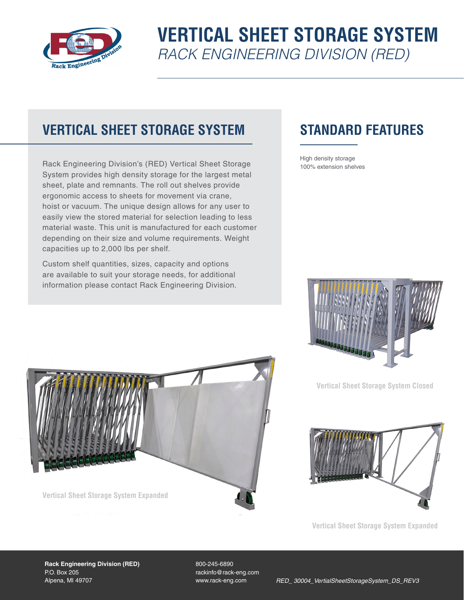

# **VERTICAL SHEET STORAGE SYSTEM**  *RACK ENGINEERING DIVISION (RED)*

## **VERTICAL SHEET STORAGE SYSTEM**

Rack Engineering Division's (RED) Vertical Sheet Storage System provides high density storage for the largest metal sheet, plate and remnants. The roll out shelves provide ergonomic access to sheets for movement via crane, hoist or vacuum. The unique design allows for any user to easily view the stored material for selection leading to less material waste. This unit is manufactured for each customer depending on their size and volume requirements. Weight capacities up to 2,000 lbs per shelf.

Custom shelf quantities, sizes, capacity and options are available to suit your storage needs, for additional information please contact Rack Engineering Division.

### **STANDARD FEATURES**

High density storage 100% extension shelves



**Vertical Sheet Storage System Closed**



**Vertical Sheet Storage System Expanded**



**Vertical Sheet Storage System Expanded**

**Rack Engineering Division (RED)** P.O. Box 205 Alpena, MI 49707

800-245-6890 rackinfo@rack-eng.com www.rack-eng.com